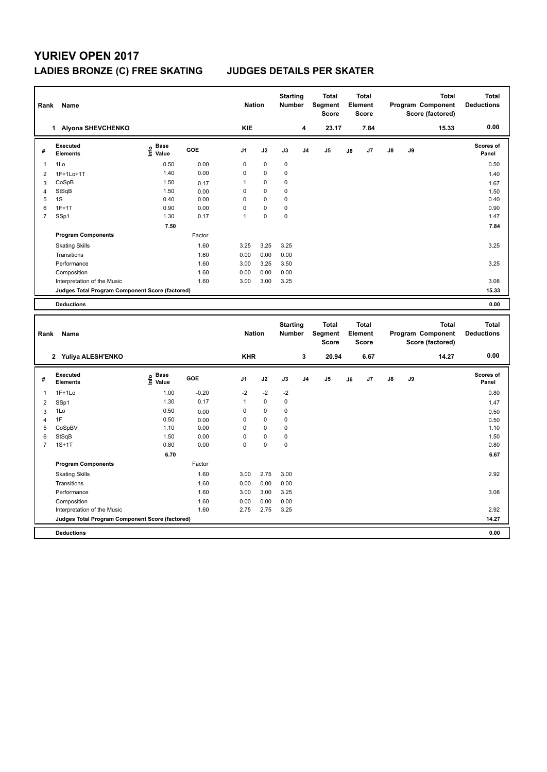## **YURIEV OPEN 2017 LADIES BRONZE (C) FREE SKATING JUDGES DETAILS PER SKATER**

| Rank | Name                                            |                                  |            | <b>Nation</b>  |           | <b>Starting</b><br><b>Number</b> |                | <b>Total</b><br>Segment<br><b>Score</b> |    | <b>Total</b><br>Element<br><b>Score</b> |               |    | <b>Total</b><br>Program Component<br>Score (factored) | <b>Total</b><br><b>Deductions</b> |
|------|-------------------------------------------------|----------------------------------|------------|----------------|-----------|----------------------------------|----------------|-----------------------------------------|----|-----------------------------------------|---------------|----|-------------------------------------------------------|-----------------------------------|
|      | 1 Alyona SHEVCHENKO                             |                                  |            | <b>KIE</b>     |           |                                  | 4              | 23.17                                   |    | 7.84                                    |               |    | 15.33                                                 | 0.00                              |
| #    | Executed<br><b>Elements</b>                     | <b>Base</b><br>e Base<br>⊆ Value | <b>GOE</b> | J <sub>1</sub> | J2        | J3                               | J <sub>4</sub> | J <sub>5</sub>                          | J6 | J7                                      | $\mathsf{J}8$ | J9 |                                                       | Scores of<br>Panel                |
| 1    | 1Lo                                             | 0.50                             | 0.00       | 0              | $\pmb{0}$ | 0                                |                |                                         |    |                                         |               |    |                                                       | 0.50                              |
| 2    | 1F+1Lo+1T                                       | 1.40                             | 0.00       | 0              | 0         | 0                                |                |                                         |    |                                         |               |    |                                                       | 1.40                              |
| 3    | CoSpB                                           | 1.50                             | 0.17       |                | 0         | 0                                |                |                                         |    |                                         |               |    |                                                       | 1.67                              |
| 4    | StSqB                                           | 1.50                             | 0.00       | $\Omega$       | 0         | 0                                |                |                                         |    |                                         |               |    |                                                       | 1.50                              |
| 5    | 1S                                              | 0.40                             | 0.00       | $\Omega$       | 0         | 0                                |                |                                         |    |                                         |               |    |                                                       | 0.40                              |
| 6    | $1F+1T$                                         | 0.90                             | 0.00       | $\Omega$       | 0         | 0                                |                |                                         |    |                                         |               |    |                                                       | 0.90                              |
| 7    | SSp1                                            | 1.30                             | 0.17       | 1              | 0         | 0                                |                |                                         |    |                                         |               |    |                                                       | 1.47                              |
|      |                                                 | 7.50                             |            |                |           |                                  |                |                                         |    |                                         |               |    |                                                       | 7.84                              |
|      | <b>Program Components</b>                       |                                  | Factor     |                |           |                                  |                |                                         |    |                                         |               |    |                                                       |                                   |
|      | <b>Skating Skills</b>                           |                                  | 1.60       | 3.25           | 3.25      | 3.25                             |                |                                         |    |                                         |               |    |                                                       | 3.25                              |
|      | Transitions                                     |                                  | 1.60       | 0.00           | 0.00      | 0.00                             |                |                                         |    |                                         |               |    |                                                       |                                   |
|      | Performance                                     |                                  | 1.60       | 3.00           | 3.25      | 3.50                             |                |                                         |    |                                         |               |    |                                                       | 3.25                              |
|      | Composition                                     |                                  | 1.60       | 0.00           | 0.00      | 0.00                             |                |                                         |    |                                         |               |    |                                                       |                                   |
|      | Interpretation of the Music                     |                                  | 1.60       | 3.00           | 3.00      | 3.25                             |                |                                         |    |                                         |               |    |                                                       | 3.08                              |
|      | Judges Total Program Component Score (factored) |                                  |            |                |           |                                  |                |                                         |    |                                         |               |    |                                                       | 15.33                             |
|      | <b>Deductions</b>                               |                                  |            |                |           |                                  |                |                                         |    |                                         |               |    |                                                       | 0.00                              |
|      | Dank Manag                                      |                                  |            | <b>Nintinn</b> |           | <b>Starting</b>                  |                | <b>Total</b><br>Number Compant          |    | <b>Total</b><br>Element                 |               |    | <b>Total</b><br>Drogram Component                     | <b>Total</b><br><b>Deductions</b> |

| Rank           | Name                                            |                                  |         | <b>Nation</b>  |             | <br><b>Number</b> |                | .<br>Segment<br>Score |    | .<br>Element<br><b>Score</b> |               |    | .<br>Program Component<br>Score (factored) | <b>Deductions</b>         |
|----------------|-------------------------------------------------|----------------------------------|---------|----------------|-------------|-------------------|----------------|-----------------------|----|------------------------------|---------------|----|--------------------------------------------|---------------------------|
|                | 2 Yuliya ALESH'ENKO                             |                                  |         | <b>KHR</b>     |             |                   | 3              | 20.94                 |    | 6.67                         |               |    | 14.27                                      | 0.00                      |
| #              | <b>Executed</b><br><b>Elements</b>              | <b>Base</b><br>e Base<br>⊆ Value | GOE     | J <sub>1</sub> | J2          | J3                | J <sub>4</sub> | J <sub>5</sub>        | J6 | J7                           | $\mathsf{J}8$ | J9 |                                            | <b>Scores of</b><br>Panel |
| 1              | $1F+1Lo$                                        | 1.00                             | $-0.20$ | $-2$           | $-2$        | $-2$              |                |                       |    |                              |               |    |                                            | 0.80                      |
| 2              | SSp1                                            | 1.30                             | 0.17    | $\mathbf{1}$   | $\mathbf 0$ | 0                 |                |                       |    |                              |               |    |                                            | 1.47                      |
| 3              | 1Lo                                             | 0.50                             | 0.00    | 0              | $\mathbf 0$ | 0                 |                |                       |    |                              |               |    |                                            | 0.50                      |
| 4              | 1F                                              | 0.50                             | 0.00    | 0              | $\mathbf 0$ | 0                 |                |                       |    |                              |               |    |                                            | 0.50                      |
| 5              | CoSpBV                                          | 1.10                             | 0.00    | 0              | $\mathbf 0$ | 0                 |                |                       |    |                              |               |    |                                            | 1.10                      |
| 6              | StSqB                                           | 1.50                             | 0.00    | 0              | $\mathbf 0$ | 0                 |                |                       |    |                              |               |    |                                            | 1.50                      |
| $\overline{7}$ | $1S+1T$                                         | 0.80                             | 0.00    | 0              | $\mathbf 0$ | $\pmb{0}$         |                |                       |    |                              |               |    |                                            | 0.80                      |
|                |                                                 | 6.70                             |         |                |             |                   |                |                       |    |                              |               |    |                                            | 6.67                      |
|                | <b>Program Components</b>                       |                                  | Factor  |                |             |                   |                |                       |    |                              |               |    |                                            |                           |
|                | <b>Skating Skills</b>                           |                                  | 1.60    | 3.00           | 2.75        | 3.00              |                |                       |    |                              |               |    |                                            | 2.92                      |
|                | Transitions                                     |                                  | 1.60    | 0.00           | 0.00        | 0.00              |                |                       |    |                              |               |    |                                            |                           |
|                | Performance                                     |                                  | 1.60    | 3.00           | 3.00        | 3.25              |                |                       |    |                              |               |    |                                            | 3.08                      |
|                | Composition                                     |                                  | 1.60    | 0.00           | 0.00        | 0.00              |                |                       |    |                              |               |    |                                            |                           |
|                | Interpretation of the Music                     |                                  | 1.60    | 2.75           | 2.75        | 3.25              |                |                       |    |                              |               |    |                                            | 2.92                      |
|                | Judges Total Program Component Score (factored) |                                  |         |                |             |                   |                |                       |    |                              |               |    |                                            | 14.27                     |
|                | <b>Deductions</b>                               |                                  |         |                |             |                   |                |                       |    |                              |               |    |                                            | 0.00                      |